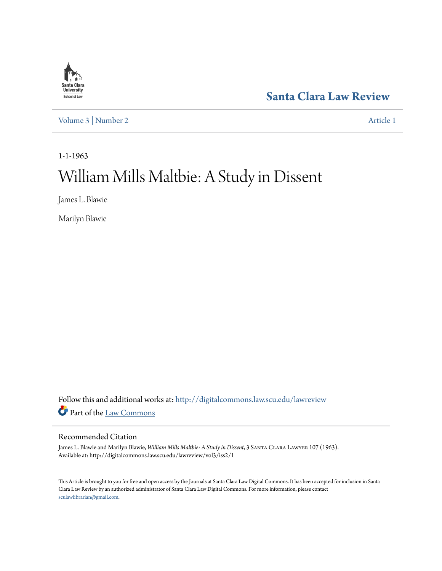

**[Santa Clara Law Review](http://digitalcommons.law.scu.edu/lawreview?utm_source=digitalcommons.law.scu.edu%2Flawreview%2Fvol3%2Fiss2%2F1&utm_medium=PDF&utm_campaign=PDFCoverPages)**

[Volume 3](http://digitalcommons.law.scu.edu/lawreview/vol3?utm_source=digitalcommons.law.scu.edu%2Flawreview%2Fvol3%2Fiss2%2F1&utm_medium=PDF&utm_campaign=PDFCoverPages) | [Number 2](http://digitalcommons.law.scu.edu/lawreview/vol3/iss2?utm_source=digitalcommons.law.scu.edu%2Flawreview%2Fvol3%2Fiss2%2F1&utm_medium=PDF&utm_campaign=PDFCoverPages) [Article 1](http://digitalcommons.law.scu.edu/lawreview/vol3/iss2/1?utm_source=digitalcommons.law.scu.edu%2Flawreview%2Fvol3%2Fiss2%2F1&utm_medium=PDF&utm_campaign=PDFCoverPages)

1-1-1963

## William Mills Maltbie: A Study in Dissent

James L. Blawie

Marilyn Blawie

Follow this and additional works at: [http://digitalcommons.law.scu.edu/lawreview](http://digitalcommons.law.scu.edu/lawreview?utm_source=digitalcommons.law.scu.edu%2Flawreview%2Fvol3%2Fiss2%2F1&utm_medium=PDF&utm_campaign=PDFCoverPages) Part of the [Law Commons](http://network.bepress.com/hgg/discipline/578?utm_source=digitalcommons.law.scu.edu%2Flawreview%2Fvol3%2Fiss2%2F1&utm_medium=PDF&utm_campaign=PDFCoverPages)

#### Recommended Citation

James L. Blawie and Marilyn Blawie, *William Mills Maltbie: A Study in Dissent*, 3 Santa Clara Lawyer 107 (1963). Available at: http://digitalcommons.law.scu.edu/lawreview/vol3/iss2/1

This Article is brought to you for free and open access by the Journals at Santa Clara Law Digital Commons. It has been accepted for inclusion in Santa Clara Law Review by an authorized administrator of Santa Clara Law Digital Commons. For more information, please contact [sculawlibrarian@gmail.com](mailto:sculawlibrarian@gmail.com).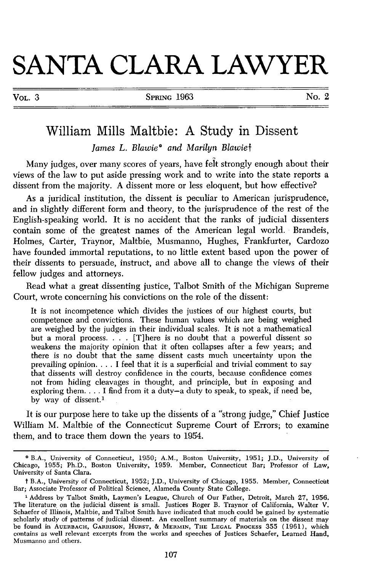# **SANTA CLARA LAWYER**

| × |  |
|---|--|
|---|--|

### William Mills Maltbie: **A** Study in Dissent

*James L. Blawie\* and Marilyn Blawief*

Many judges, over many scores of years, have felt strongly enough about their views of the law to put aside pressing work and to write into the state reports a dissent from the majority. A dissent more or less eloquent, but how effective?

As a juridical institution, the dissent is peculiar to American jurisprudence, and in slightly different form and theory, to the jurisprudence of the rest of the English-speaking world. It is no accident that the ranks of judicial dissenters contain some of the greatest names of the American legal world. Brandeis, Holmes, Carter, Traynor, Maltbie, Musmanno, Hughes, Frankfurter, Cardozo have founded immortal reputations, to no little extent based upon the power of their dissents to persuade, instruct, and above all to change the views of their fellow judges and attorneys.

Read what a great dissenting justice, Talbot Smith of the Michigan Supreme Court, wrote concerning his convictions on the role of the dissent:

It is not incompetence which divides the justices of our highest courts, but competence and convictions. These human values which are being weighed are weighed by the judges in their individual scales. It is not a mathematical but a moral process. . **.** . [T]here is no doubt that a powerful dissent so weakens the majority opinion that it often collapses after a few years; and there is no doubt that the same dissent casts much uncertainty upon the prevailing opinion **....** I feel that it is a superficial and trivial comment to say that dissents will destroy confidence in the courts, because confidence comes not from hiding cleavages in thought, and principle, but in exposing and exploring them. . . . I find from it a duty-a duty to speak, to speak, if need be, by way of dissent.<sup>1</sup>

It is our purpose here to take up the dissents of a "strong judge," Chief Justice William M. Maltbie of the Connecticut Supreme Court of Errors; to examine them, and to trace them down the years to 1954.

**<sup>\*</sup>** B.A., University of Connecticut, 1950; A.M., Boston University, 1951; J.D., University of Chicago, 1955; Ph.D., Boston University, 1959. Member, Connecticut Bar; Professor of Law, University of Santa Clara.

t B.A., University of Connecticut, 1952; J.D., University of Chicago, 1955. Member, Connecticut Bar; Associate Professor of Political Science, Alameda County State College.

**<sup>&#</sup>x27;** Address by Talbot Smith, Laymen's League, Church of Our Father, Detroit, March 27, 1956. The literature, on the judicial dissent is small. Justices Roger B. Traynor of California, Walter V. Schaefer of Illinois, Maltbie, and Talbot Smith have indicated that much could be gained by systematic scholarly study of patterns of judicial dissent. An excellent summary of materials on the dissent may be found in **AUERBACH,** GARRISON, **HURST, &** MERMIN, **THE LEGAL PROCESS** 355 (1961), which contains as well relevant excerpts from the works and speeches of Justices Schaefer, Learned Hand, Musmanno and others.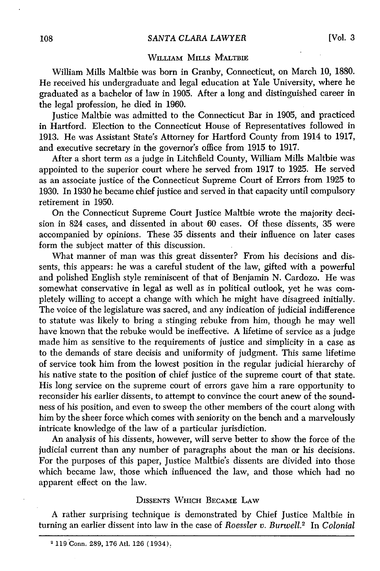#### WILLIAM MILLS MALTBIE

William Mills Maltbie was born in Granby, Connecticut, on March 10, 1880. He received his undergraduate and legal education at Yale University, where he graduated as a bachelor of law in 1905. After a long and distinguished career in the legal profession, he died in 1960.

Justice Maltbie was admitted to the Connecticut Bar in 1905, and practiced in Hartford. Election to the Connecticut House of Representatives followed in 1913. He was Assistant State's Attorney for Hartford County from 1914 to 1917, and executive secretary in the governor's office from 1915 to 1917.

After a short term as a judge in Litchfield County, William Mills Maltbie was appointed to the superior court where he served from 1917 to 1925. He served as an associate justice of the Connecticut Supreme Court of Errors from 1925 to 1930. In 1930 he became chief justice and served in that capacity until compulsory retirement in 1950.

On the Connecticut Supreme Court Justice Maltbie wrote the majority decision in 824 cases, and dissented in about 60 cases. Of these dissents, 35 were accompanied by opinions. These 35 dissents and their influence on later cases form the subject matter of this discussion.

What manner of man was this great dissenter? From his decisions and dissents, this appears: he was a careful student of the law, gifted with a powerful and polished English style reminiscent of that of Benjamin N. Cardozo. He was somewhat conservative in legal as well as in political outlook, yet he was completely willing to accept a change with which he might have disagreed initially. The voice of the legislature was sacred, and any indication of judicial indifference to statute was likely to bring a stinging rebuke from him, though he may well have known that the rebuke would be ineffective. A lifetime of service as a judge made him as sensitive to the requirements of justice and simplicity in a case as to the demands of stare decisis and uniformity of judgment. This same lifetime of service took him from the lowest position in the regular judicial hierarchy of his native state to the position of chief justice of the supreme court of that state. His long service on the supreme court of errors gave him a rare opportunity to reconsider his earlier dissents, to attempt to convince the court anew of the soundness of his position, and even to sweep the other members of the court along with him by the sheer force which comes with seniority on the bench and a marvelously intricate knowledge of the law of a particular jurisdiction.

An analysis of his dissents, however, will serve better to show the force of the judicial current than any number of paragraphs about the man or his decisions. For the purposes of this paper, Justice Maltbie's dissents are divided into those which became law, those which influenced the law, and those which had no apparent effect on the law.

#### DISSENTS WHICH BECAME LAW

A rather surprising technique is demonstrated by Chief Justice Maltbie in turning an earlier dissent into law in the case of *Roessler v. Burwell.<sup>2</sup>*In *Colonial*

<sup>&</sup>lt;sup>2</sup> 119 Conn. 289, 176 Atl. 126 (1934).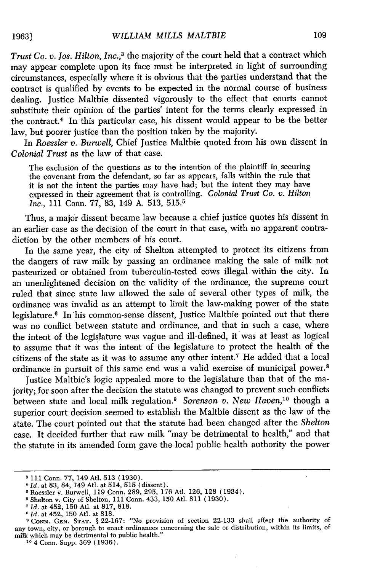*Trust Co. v. los. Hilton, Inc.,3* the majority of the court held that a contract which may appear complete upon its face must be interpreted in light of surrounding circumstances, especially where it is obvious that the parties understand that the contract is qualified by events to be expected in the normal course of business dealing. Justice Maltbie dissented vigorously to the effect that courts cannot substitute their opinion of the parties' intent for the terms clearly expressed in the contract.<sup>4</sup> In this particular case, his dissent would appear to be the better law, but poorer justice than the position taken by the majority.

In *Roessler v. Burwell,* Chief Justice Maltbie quoted from his own dissent in *Colonial Trust* as the law of that case.

The exclusion of the questions as to the intention of the plaintiff in securing the covenant from the defendant, so far as appears, falls within the rule that it is not the intent the parties may have had; but the intent they may have expressed in their agreement that is controlling. *Colonial Trust Co. v. Hilton Inc.,* 111 Conn. *77,* 83, 149 A. 513, 515. <sup>5</sup>

Thus, a major dissent became law because a chief justice quotes his dissent in an earlier case as the decision of the court in that case, with no apparent contradiction by the other members of his court.

In the same year, the city of Shelton attempted to protect its citizens from the dangers of raw milk by passing an ordinance making the sale of milk not pasteurized or obtained from tuberculin-tested cows illegal within the city. In an unenlightened decision on the validity of the ordinance, the supreme court ruled that since state law allowed the sale of several other types of milk, the ordinance was invalid as an attempt to limit the law-making power of the state legislature.<sup>6</sup> In his common-sense dissent, Justice Maltbie pointed out that there was no conflict between statute and ordinance, and that in such a case, where the intent of the legislature was vague and ill-defined, it was at least as logical to assume that it was the intent of the legislature to protect the health of the citizens of the state as it was to assume any other intent.7 He added that a local ordinance in pursuit of this same end was a valid exercise of municipal power.<sup>8</sup>

Justice Maltbie's logic appealed more to the legislature than that of the majority; for soon after the decision the statute was changed to prevent such conflicts between state and local milk regulation." *Sorenson v. New Haven,10* though a superior court decision seemed to establish the Maltbie dissent as the law of the state. The court pointed out that the statute had been changed after the *Shelton* case. It decided further that raw milk "may be detrimental to health," and that the statute in its amended form gave the local public health authority the power

<sup>8 111</sup> Conn. 77, 149 Atl. 513 (1930).

*<sup>&#</sup>x27;Id.* at 83, 84, 149 Atl. at 514, 515 (dissent).

Roessler v. Burwell, 119 Conn. 289, 295, 176 Atl. 126, 128 (1934).

<sup>&#</sup>x27;Shelton v. City of Shelton, 111 Conn. 433, 150 Atl. 811 (1930).

*<sup>&#</sup>x27;Id.* at 452, 150 Atl. at 817, 818. *Id.* at 452, 150 Atl. at 818.

**CONN. GEN. STAT. §** 22-167: "No provision of section 22-133 shall affect the authority of any town, city, or borough to enact ordinances concerning the sale or distribution, within its limits, of milk which may be detrimental to public health."

**<sup>&#</sup>x27;o** 4 Conn. Supp. 369 (1936).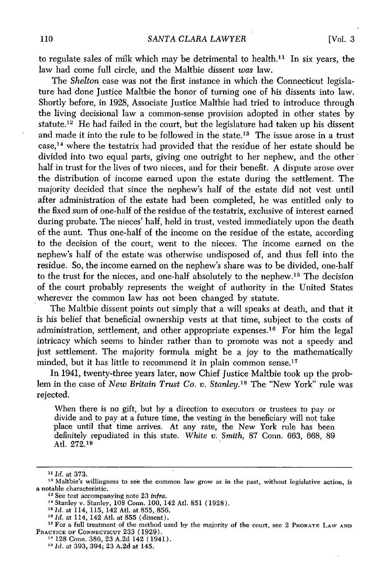to regulate sales of milk which may be detrimental to health.<sup>11</sup> In six years, the law had come full circle, and the Maltbie dissent was law.

The *Shelton* case was not the first instance in which the Connecticut legislature had done Justice Maltbie the honor of turning one of his dissents into law. Shortly before, in 1928, Associate Justice Maltbie had tried to introduce through the living decisional law a common-sense provision adopted in other states by statute.<sup>12</sup> He had failed in the court, but the legislature had taken up his dissent and made it into the rule to be followed in the state.<sup>13</sup> The issue arose in a trust  $case<sub>14</sub>$  where the testatrix had provided that the residue of her estate should be divided into two equal parts, giving one outright to her nephew, and the other half in trust for the lives of two nieces, and for their benefit. A dispute arose over the distribution of income earned upon the estate during the settlement. The majority decided that since the nephew's half of the estate did not vest until after administration of the estate had been completed, he was entitled only to the fixed sum of one-half of the residue of the testatrix, exclusive of interest earned during probate. The nieces' half, held in trust, vested immediately upon the death of the aunt. Thus one-half of the income on the residue of the estate, according to the decision of the court, went to the nieces. The income earned on the nephew's half of the estate was otherwise undisposed of, and thus fell into the residue. So, the income earned on the nephew's share was to be divided, one-half to the trust for the nieces, and one-half absolutely to the nephew.<sup>15</sup> The decision of the court probably represents the weight of authority in the United States wherever the common law has not been changed by statute.

The Maltbie dissent points out simply that a will speaks at death, and that it is his belief that beneficial ownership vests at that time, subject to the costs of administration, settlement, and other appropriate expenses.<sup>16</sup> For him the legal intricacy which seems to hinder rather than to promote was not a speedy and just settlement. The majority formula might be a joy to the mathematically minded, but it has little to recommend it in plain common sense.<sup>17</sup>

In 1941, twenty-three years later, now Chief Justice Maltbie took up the problem in the case of *New Britain Trust Co. v. Stanley.'8* The "New York" rule was rejected.

When there is no gift, but by a direction to executors or trustees to pay or divide and to pay at a future time, the vesting in the beneficiary will not take place until that time arrives. At any rate, the New York rule has been definitely repudiated in this state. *White v. Smith,* 87 Conn. 663, 668, 89 Atl. 272.1<sup>9</sup>

<sup>15</sup> *Id.* at 114, 115, 142 Atl. at 855, 856.

*<sup>1&#</sup>x27; Id.* at 373.

<sup>&</sup>lt;sup>12</sup> Maltbie's willingness to see the common law grow as in the past, without legislative action, is a notable characteristic.

<sup>&</sup>lt;sup>13</sup> See text accompanying note 23 infra.

**<sup>&</sup>quot;** Stanley v. Stanley, 108 Conn. 100, 142 AtI. 851 (1928).

*<sup>&</sup>quot; Id.* at 114, 142 Atl. at 855 (dissent).

<sup>&</sup>lt;sup>17</sup> For a full treatment of the method used by the majority of the court, see 2 PROBATE LAW AND PRACTICE **OF CONNECTICUT** 233 (1929).

**<sup>&</sup>quot;** 128 Conn. **386,** 23 A.2d 142 (1941).

*<sup>&</sup>quot; Id.* at 393, 394; 23 A.2d at 145.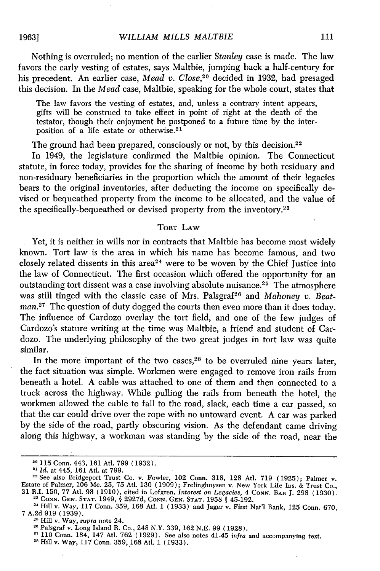Nothing is overruled; no mention of the earlier *Stanley* case is made. The law favors the early vesting of estates, says Maltbie, jumping back a half-century for his precedent. An earlier case, *Mead v. Close,20* decided in 1932, had presaged this decision. In the *Mead* case, Maltbie, speaking for the whole court, states that

The law favors the vesting of estates, and, unless a contrary intent appears, gifts will be construed to take effect in point of right at the death of the testator, though their enjoyment be postponed to a future time by the interposition of a life estate or otherwise.<sup>21</sup>

The ground had been prepared, consciously or not, by this decision.<sup>22</sup>

In 1949, the legislature confirmed the Maltbie opinion. The Connecticut statute, in force today, provides for the sharing of income by both residuary and non-residuary beneficiaries in the proportion which the amount of their legacies bears to the original inventories, after deducting the income on specifically devised or bequeathed property from the income to be allocated, and the value of the specifically-bequeathed or devised property from the inventory.<sup>23</sup>

#### TORT LAW

Yet, it is neither in wills nor in contracts that Maltbie has become most widely known. Tort law is the area in which his name has become famous, and two closely related dissents in this area<sup>24</sup> were to be woven by the Chief Justice into the law of Connecticut. The first occasion which offered the opportunity for an outstanding tort dissent was a case involving absolute nuisance.25 The atmosphere was still tinged with the classic case of Mrs. Palsgraf<sup>26</sup> and *Mahoney v. Beatman.*<sup>27</sup> The question of duty dogged the courts then even more than it does today. The influence of Cardozo overlay the tort field, and one of the few judges of Cardozo's stature writing at the time was Maltbie, a friend and student of Cardozo. The underlying philosophy of the two great judges in tort law was quite similar.

In the more important of the two cases, $28$  to be overruled nine years later, the fact situation was simple. Workmen were engaged to remove iron rails from beneath a hotel. A cable was attached to one of them and then connected to a truck across the highway. While pulling the rails from beneath the hotel, the workmen allowed the cable to fall to the road, slack, each time a car passed, so that the car could drive over the rope with no untoward event. A car was parked by the side of the road, partly obscuring vision. As the defendant came driving along this highway, a workman was standing by the side of the road, near the

**"'** Hill v. Way, 117 Conn. 359, 168 Atl. 1 (1933) and Jager v. First Nat'l Bank, 125 Conn. 670,

**<sup>20 115</sup>** Conn. 443, 161 Atl. 799 (1932).

<sup>21</sup>**Id.** at 445, 161 Atl. at 799.

<sup>22</sup>See also Bridgeport Trust Co. v. Fowler, 102 Conn. 318, 128 At]. 719 (1925); Palmer v. Estate of Palmer, 106 Me. 25, 75 Atl. 130 (1909); Frelinghuysen v. New York Life Ins. & Trust Co. 31 R.I. 150, 77 Atl. 98 (1910), cited in Lofgren, *Interest on Legacies,* 4 **CONN.** BAR J. 298 (1930). **2' CONN. GEN. STAT.** 1949, **§** 2927d, **CONN. GEN. STAT.** 1958 **§** 45-192.

<sup>&</sup>lt;sup>24</sup> Hill v. Way, 117 Conn. 359, 168 Atl. 1 (1933) and Jager v. First Nat'l Bank, 125 Conn. 670, <br>7 A.2d 919 (1939).<br><sup>25</sup> Hill v. Way, *supra* note 24.

<sup>&</sup>lt;sup>2</sup> Filli v. Way, *supra* note 24.<br><sup>26</sup> Palsgraf v. Long Island R. Co., 248 N.Y. 220, 162 N.E. 90 (1939).

**<sup>&</sup>lt;sup>27</sup>** 110 Conn. 184, 147 Atl. 762 (1929). See also notes 41-45 *infra* and accompanying text.  $\frac{128 \text{ Hil}}{1 \text{ V}}$  W<sub>ay</sub>, 117 Conn. 359, 168 Atl. 1 (1933).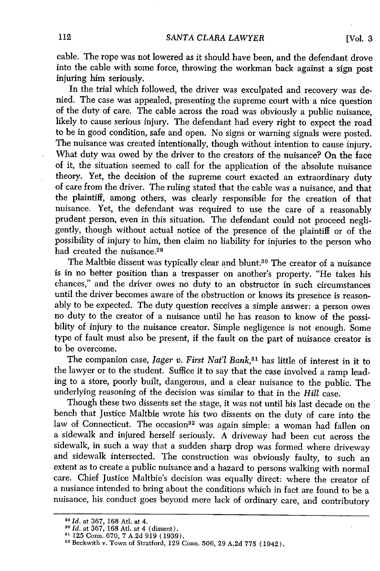cable. The rope was not lowered as it should have been, and the defendant drove into the cable with some force, throwing the workman back against a sign post injuring him seriously.

In the trial which followed, the driver was exculpated and recovery was denied. The case was appealed, presenting the supreme court with a nice question of the duty of care. The cable across the road was obviously a public nuisance, likely to cause serious injury. The defendant had every right to expect the road to be in good condition, safe and open. No signs or warning signals were posted. The nuisance was created intentionally, though without intention to cause injury. What duty was owed by the driver to the creators of the nuisance? On the face of it, the situation seemed to call for the application of the absolute nuisance theory. Yet, the decision of the supreme court exacted an extraordinary duty of care from the driver. The ruling stated that the cable was a nuisance, and that the plaintiff, among others, was clearly responsible for the creation of that nuisance. Yet, the defendant was required to use the care of a reasonably prudent person, even in this situation. The defendant could not proceed negligently, though without actual notice of the presence of the plaintiff or of the possibility of injury to him, then claim no liability for injuries to the person who had created the nuisance.<sup>29</sup>

The Maltbie dissent was typically clear and blunt.<sup>30</sup> The creator of a nuisance is in no better position than a trespasser on another's property. "He takes his chances," and the driver owes no duty to an obstructor in such circumstances until the driver becomes aware of the obstruction or knows its presence is reasonably to be expected. The duty question receives a simple answer: a person owes no duty to the creator of a nuisance until he has reason to know of the possibility of injury to the nuisance creator. Simple negligence is not enough. Some type of fault must also be present, if the fault on the part of nuisance creator is to be overcome.

The companion case, *Jager v. First Nat'l Bank*,<sup>31</sup> has little of interest in it to the lawyer or to the student. Suffice it to say that the case involved a ramp leading to a store, poorly built, dangerous, and a clear nuisance to the public. The underlying reasoning of the decision was similar to that in the *Hill* case.

Though these two dissents set the stage, it was not until his last decade on the bench that Justice Maltbie wrote his two dissents on the duty of care into the law of Connecticut. The occasion<sup>32</sup> was again simple: a woman had fallen on a sidewalk and injured herself seriously. A driveway had been cut across the sidewalk, in such a way that a sudden sharp drop was formed where driveway and sidewalk intersected. The construction was obviously faulty, to such an extent as to create a public nuisance and a hazard to persons walking with normal care. Chief Justice Maltbie's decision was equally direct: where the creator of a nusiance intended to bring about the conditions which in fact are found to be a nuisance, his conduct goes beyond mere lack of ordinary care, and contributory

<sup>&</sup>lt;sup>29</sup> *Id.* at 367, 168 Atl. at 4.<br><sup>30</sup> *Id.* at 367, 168 Atl. at 4 (dissent).

<sup>&</sup>lt;sup>31</sup> 125 Conn. 670, 7 A.2d 919 (1939).<br><sup>32</sup> Beckwith v. Town of Stratford, 129 Conn. 506, 29 A.2d 775 (1942).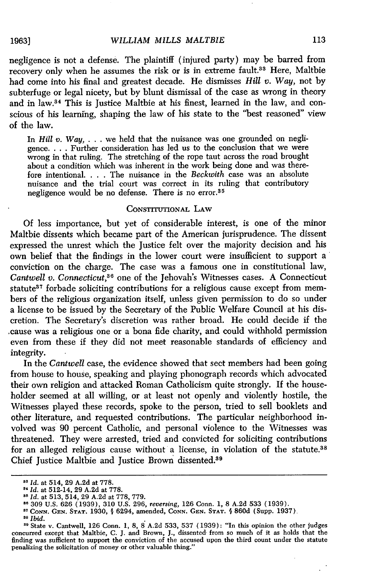#### *WILLIAM MILLS MALTBIE*

negligence is not a defense. The plaintiff (injured party) may be barred from recovery only when he assumes the risk or is in extreme fault.<sup>33</sup> Here, Maltbie had come into his final and greatest decade. He dismisses *Hill* v. *Way,* not by subterfuge or legal nicety, but by blunt dismissal of the case as wrong in theory and in law.<sup>84</sup> This is Justice Maltbie at his finest, learned in the law, and conscious of his learning, shaping the law of his state to the "best reasoned" view of the law.

In *Hill v. Way, ...* we held that the nuisance was one grounded on negligence **....** Further consideration has led us to the conclusion that we were wrong in that ruling. The stretching of the rope taut across the road brought about a condition which was inherent in the work being done and was therefore intentional. . **.** . The nuisance in the *Beckwith* case was an absolute nuisance and the trial court was correct in its ruling that contributory negligence would be no defense. There is no error.<sup>35</sup>

#### CONSTITUTIONAL LAW

Of less importance, but yet of considerable interest, is one of the minor Maltbie dissents which became part of the American jurisprudence. The dissent expressed the unrest which the Justice felt over the majority decision and his own belief that the findings in the lower court were insufficient to support a conviction on the charge. The case was a famous one in constitutional law, *Cantwell v. Connecticut*,<sup>36</sup> one of the Jehovah's Witnesses cases. A Connecticut statute<sup>37</sup> forbade soliciting contributions for a religious cause except from members of the religious organization itself, unless given permission to do so under a license to be issued **by** the Secretary of the Public Welfare Council at his discretion. The Secretary's discretion was rather broad. He could decide if the .cause was a religious one or a bona fide charity, and could withhold permission even from these if they did not meet reasonable standards of efficiency and integrity.

In the *Cantwell* case, the evidence showed that sect members had been going from house to house, speaking and playing phonograph records which advocated their own religion and attacked Roman Catholicism quite strongly. If the householder seemed at all willing, or at least not openly and violently hostile, the Witnesses played these records, spoke to the person, tried to sell booklets and other literature, and requested contributions. The particular neighborhood involved was 90 percent Catholic, and personal violence to the Witnesses was threatened. They were arrested, tried and convicted for soliciting contributions for an alleged religious cause without a license, in violation of the statute.<sup>38</sup> Chief Justice Maltbie and Justice Brown dissented.<sup>89</sup>

1963]

*Id.* at 514, 29 A.2d at **778.**

*<sup>,</sup>Id.* at 512-14, 29 A.2d at **778.**

*<sup>&</sup>quot;Id.* at 513, 514, 29 A.2d at **778, 779.**

<sup>&</sup>quot;309 **U.S.** 626 (1939), 310 U.S. 296, *reversing,* 126 Conn. 1, **8** A.2d 533 (1939). **"CONN. GEN. STAT.** 1930, **§** 6294, amended, **CONN. GEN. STAT. § 860d** (Supp. 1937)

*as Ibid.*

<sup>&</sup>lt;sup>39</sup> State v. Cantwell, 126 Conn. 1, 8, 8 A.2d 533, 537 (1939): "In this opinion the other judges concurred except that Maltbie, C. J. and Brown, J., dissented- from so much of it as holds that the finding was sufficient to support the conviction of the accused upon the third count under the statute penalizing the solicitation of money or other valuable thing."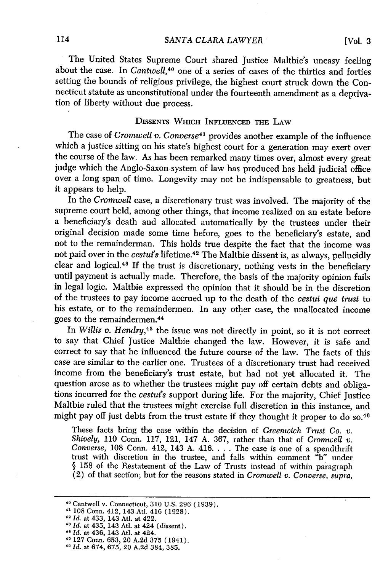[Vol. **3**

The United States Supreme Court shared Justice Maltbie's uneasy feeling about the case. In *Cantwell,4°* one of a series of cases of the thirties and forties setting the bounds of religious privilege, the highest court struck down the Connecticut statute as unconstitutional under the fourteenth amendment as a deprivation of liberty without due process.

#### **DISSENTS WHICH INFLUENCED** THE LAW

The case *of Cromwell v. Converse41* provides another example of the influence which a justice sitting on his state's highest court for a generation may exert over the course of the law. As has been remarked many times over, almost every great judge which the Anglo-Saxon system of law has produced has held judicial office over a long span of time. Longevity may not be indispensable to greatness, but it appears to help.

In the *Cromwell* case, a discretionary trust was involved. The majority of the supreme court held, among other things, that income realized on an estate before a beneficiary's death and allocated automatically by the trustees under their original decision made some time before, goes to the beneficiary's estate, and not to the remainderman. This holds true despite the fact that the income was not paid over in the *cestuis* lifetime. 42 The Maltbie dissent is, as always, pellucidly clear and logical.43 If the trust is discretionary, nothing vests in the beneficiary until payment is actually made. Therefore, the basis of the majority opinion fails in legal logic. Maltbie expressed the opinion that it should be in the discretion of the trustees to pay income accrued up to the death of the *cestui que trust* to his estate, or to the remaindermen. In any other case, the unallocated income goes to the remaindermen. <sup>44</sup>

In *Willis v. Hendry,45* the issue was not directly in point, so it is not correct to say that Chief Justice Maltbie changed the law. However, it is safe and correct to say that he influenced the future course of the law. The facts of this case are similar to the earlier one. Trustees of a discretionary trust had received income from the beneficiary's trust estate, but had not yet allocated it. The question arose as to whether the trustees might pay off certain debts and obligations incurred for the *cestui's* support during life. For the majority, Chief Justice Maltbie ruled that the trustees might exercise full discretion in this instance, and might pay off just debts from the trust estate if they thought it proper to do so.<sup>46</sup>

These facts bring the case within the decision of *Greenwich Trust Co. v. Shively,* 110 Conn. 117, 121, 147 A. 367, rather than that of *Cromwell v. Converse,* 108 Conn. 412, 143 A. 416 **....** The case is one of a spendthrift trust with discretion in the trustee, and falls within comment "b" under § 158 of the Restatement of the Law of Trusts instead of within paragraph (2) of that section; but for the reasons stated in *Cromwell v. Converse, supra,*

<sup>12</sup>*Id.* at 433, 143 At. at 422. *"3 Id.* at 435, 143 At. at 424 (dissent).

Cantwell v. Connecticut, 310 U.S. 296 (1939).

<sup>4&#</sup>x27; 108 Conn. 412, 143 At]. 416 (1928).

**<sup>&</sup>quot;** *Id.* at 436, 143 Atl. at 424.

**<sup>&</sup>quot;** 127 Conn. 653, 20 A.2d 375 (1941). **<sup>40</sup>***Id.* at 674, 675, 20 A.2d 384, 385.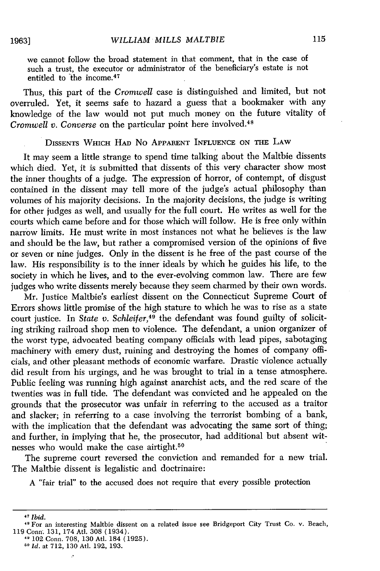we cannot follow the broad statement in that comment, that in the case of such a trust, the executor or administrator of the beneficiary's estate is not entitled to the income.<sup>47</sup>

Thus, this part of the *Cromwell* case is distinguished and limited, but not overruled. Yet, it seems safe to hazard a guess that a bookmaker with any knowledge of the law would not put much money on the future vitality of *Cromwell v. Converse* on the particular point here involved.<sup>48</sup>

#### DISSENTS WHICH **HAD** No APPARENT INFLUENCE ON THE LAW

It may seem a little strange to spend time talking about the Maltbie dissents which died. Yet, it is submitted that dissents of this very character show most the inner thoughts of a judge. The expression of horror, of contempt, of disgust contained in the dissent may tell more of the judge's actual philosophy than volumes of his majority decisions. In the majority decisions, the judge is writing for other judges as well, and usually for the full court. He writes as well for the courts which came before and for those which will follow. He is free only within narrow limits. He must write in most instances not what he believes is the law and should be the law, but rather a compromised version of the opinions of five or seven or nine judges. Only in the dissent is he free of the past course of the law. His responsibility is to the inner ideals by which he guides his life, to the society in which he lives, and to the ever-evolving common law. There are few judges who write dissents merely because they seem charmed by their own words.

Mr. Justice Maltbie's earliest dissent on the Connecticut Supreme Court of Errors shows little promise of the high stature to which he was to rise as a state court justice. In *State v. Schleifer,49* the defendant was found guilty of soliciting striking railroad shop men to violence. The defendant, a union organizer of the worst type, advocated beating company officials with lead pipes, sabotaging machinery with emery dust, ruining and destroying the homes of company officials, and other pleasant methods of economic warfare. Drastic violence actually did result from his urgings, and he was brought to trial in a tense atmosphere. Public feeling was running high against anarchist acts, and the red scare of the twenties was in full tide. The defendant was convicted and he appealed on the grounds that the prosecutor was unfair in referring to the accused as a traitor and slacker; in referring to a case involving the terrorist bombing of a bank, with the implication that the defendant was advocating the same sort of thing; and further, in implying that he, the prosecutor, had additional but absent witnesses who would make the case airtight.<sup>50</sup>

The supreme court reversed the conviction and remanded for a new trial. The Maltbie dissent is legalistic and doctrinaire:

A "fair trial" to the accused does not require that every possible protection

**1963]**

**<sup>&#</sup>x27;7** *Ibid.*

<sup>,&</sup>quot; For an interesting Maltbie dissent on a related issue see Bridgeport City Trust Co. v. Beach, 119 Conn. 131, 174 Atl. 308 (1934).

**<sup>&</sup>quot;** 102 Conn. 708, 130 Atl. 184 (1925).

*<sup>5</sup>o Id.* at 712, 130 At. 192, 193.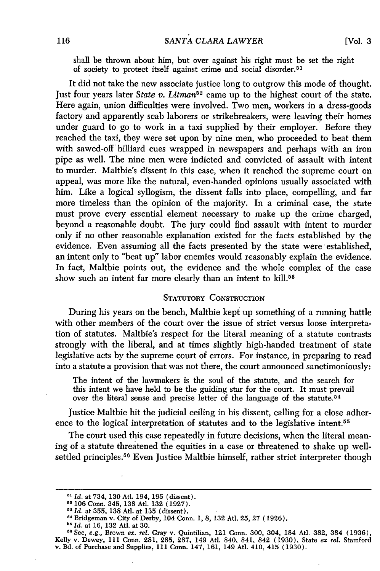shall be thrown about him, but over against his right must be set the right of society to protect itself against crime and social disorder. <sup>51</sup>

It did not take the new associate justice long to outgrow this mode of thought. Just four years later *State v. Litman<sup>52</sup>* came up to the highest court of the state. Here again, union difficulties were involved. Two men, workers in a dress-goods factory and apparently scab laborers or strikebreakers, were leaving their homes under guard to go to work in a taxi supplied by their employer. Before they reached the taxi, they were set upon by nine men, who proceeded to beat them with sawed-off billiard cues wrapped in newspapers and perhaps with an iron pipe as well. The nine men were indicted and convicted of assault with intent to murder. Maltbie's dissent in this case, when it reached the supreme court on appeal, was more like the natural, even-handed opinions usually associated with him. Like a logical syllogism, the dissent falls into place, compelling, and far more timeless than the opinion of the majority. In a criminal case, the state must prove every essential element necessary to make up the crime charged, beyond a reasonable doubt. The jury could find assault with intent to murder only if no other reasonable explanation existed for the facts established by the evidence. Even assuming all the facts presented by the state were established, an intent only to "beat up" labor enemies would reasonably explain the evidence. In fact, Maltbie points out, the evidence and the whole complex of the case show such an intent far more clearly than an intent to kill.<sup>53</sup>

#### STATUTORY CONSTRUCTION

During his years on the bench, Maltbie kept up something of a running battle with other members of the court over the issue of strict versus loose interpretation of statutes. Maltbie's respect for the literal meaning of a statute contrasts strongly with the liberal, and at times slightly high-handed treatment of state legislative acts by the supreme court of errors. For instance, in preparing to read into a statute a provision that was not there, the court announced sanctimoniously:

The intent of the lawmakers is the soul of the statute, and the search for this intent we have held to be the guiding star for the court. It must prevail over the literal sense and precise letter of the language of the statute. <sup>54</sup>

Justice Maltbie hit the judicial ceiling in his dissent, calling for a close adherence to the logical interpretation of statutes and to the legislative intent.<sup>55</sup>

The court used this case repeatedly in future decisions, when the literal meaning of a statute threatened the equities in a case or threatened to shake up wellsettled principles.<sup>56</sup> Even Justice Maltbie himself, rather strict interpreter though

*<sup>51</sup> Id.* at 734, 130 At. 194, 195 (dissent). **52 106** Conn. 345, **138** Atl. 132 (1927).

*<sup>33</sup> Id.* at 355, 138 Atl. at 135 (dissent).

**<sup>&</sup>quot;** Bridgeman v. City of Derby, 104 Conn. 1, 8, 132 Atl. 25, 27 (1926).

*<sup>15</sup> Id.* at **16, 132** Atl. at **30.**

**<sup>11</sup>**See, e.g., Brown ex. rel. Gray v. Quintilian, 121 Conn. 300, 304, 184 Atl. 382, 384 (1936), Kelly v. Dewey, 111 Conn. 281, 285, 287, 149 Atl. 840, 841, 842 (1930), State *ex rel.* Stamford v. Bd. of Purchase and Supplies, 111 Conn. 147, 161, 149 Atl. 410, 415 (1930).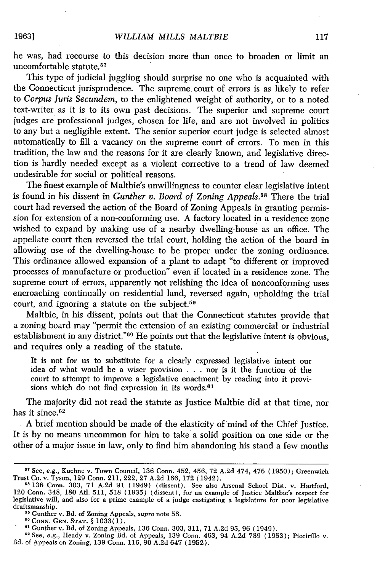he was, had recourse to this decision more than once to broaden or limit an uncomfortable statute.<sup>57</sup>

This type of judicial juggling should surprise no one who is acquainted with the Connecticut jurisprudence. The supreme court of errors is as likely to refer to *Corpus Juris Secundem,* to the enlightened weight of authority, or to a noted text-writer as it is to its own past decisions. The superior and supreme court judges are professional judges, chosen for life, and are not involved in politics to any but a negligible extent. The senior superior court judge is selected almost automatically to fill a vacancy on the supreme court of errors. To men in this tradition, the law and the reasons for it are clearly known, and legislative direction is hardly needed except as a violent corrective to a trend of law deemed undesirable for social or political reasons.

The finest example of Maltbie's unwillingness to counter clear legislative intent is found in his dissent in *Gunther v. Board of Zoning Appeals.58* There the trial court had reversed the action of the Board of Zoning Appeals in granting permission for extension of a non-conforming use. A factory located in a residence zone wished to expand by making use of a nearby dwelling-house as an office. The appellate court then reversed the trial court, holding the action of the board in allowing use of the dwelling-house to be proper under the zoning ordinance. This ordinance allowed expansion of a plant to adapt "to different or improved processes of manufacture or production" even if located in a residence zone. The supreme court of errors, apparently not relishing the idea of nonconforming uses encroaching continually on residential land, reversed again, upholding the trial court, and ignoring a statute on the subject.<sup>59</sup>

Maltbie, in his dissent, points out that the Connecticut statutes provide that a zoning board may "permit the extension of an existing commercial or industrial establishment in any district."60 He points out that the legislative intent is obvious, and requires only a reading of the statute.

It is not for us to substitute for a clearly expressed legislative intent our idea of what would be a wiser provision . . . nor is it the function of the court to attempt to improve a legislative enactment by reading into it provisions which do not find expression in its words.<sup>61</sup>

The majority did not read the statute as Justice Maltbie did at that time, nor has it since.<sup>62</sup>

A brief mention should be made of the elasticity of mind of the Chief Justice. It is by no means uncommon for him to take a solid position on one side or the other of a major issue in law, only to find him abandoning his stand a few months

19631

**<sup>57</sup>**See, *e.g.,* Kuehne v. Town Council, 136 Conn. 452, 456, 72 A.2d 474, 476 (1950); Greenwich Trust Co. v. Tyson, 129 Conn. 211, 222, 27 A.2d 166, 172 (1942). **<sup>58</sup>**136 Conn. 303, 71 A.2d 91 (1949) (dissent). See also Arsenal School Dist. v. Hartford,

<sup>120</sup> Conn. 348, 180 At. 511, 518 (1935) (dissent), for an example of Justice Maltbie's respect for legislative will, and also for a prime example of a judge castigating a legislature for poor legislative draftsmanship.

**<sup>&</sup>quot;'** Gunther v. Bd. of Zoning Appeals, *supra* note 58.

**O0CONN. GEN. STAT. §** 1033(1).

**<sup>61</sup>** Gunther v. Bd. of Zoning Appeals, 136 Conn. 303, 311, 71 A.2d 95, 96 (1949).

**<sup>0&#</sup>x27;** See, e.g., Heady v. Zoning Bd. of Appeals, 139 Conn. 463, 94 A.2d 789 (1953); Piccirillo v. Bd. of Appeals on Zoning, 139 Conn. 116, 90 A.2d 647 (1952).